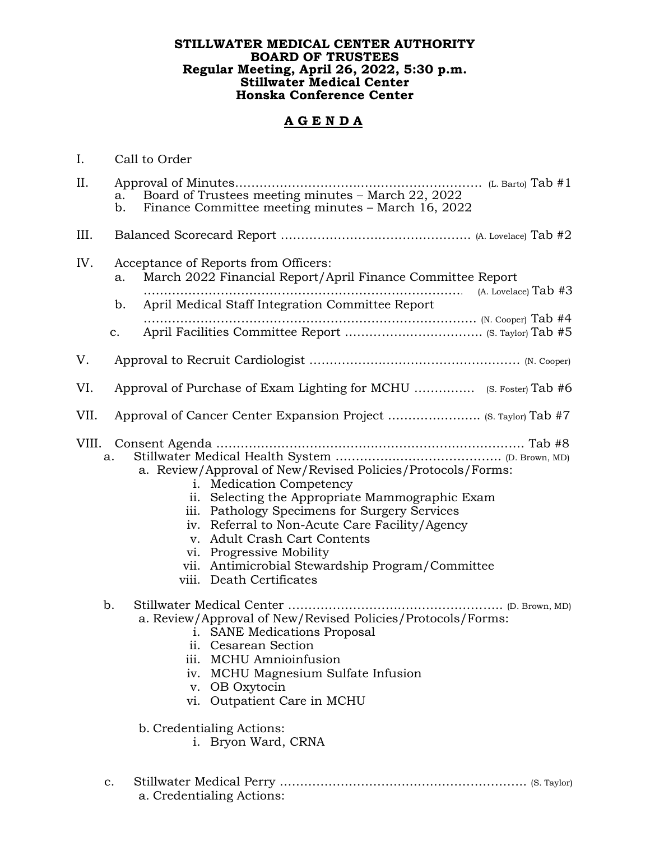## **STILLWATER MEDICAL CENTER AUTHORITY BOARD OF TRUSTEES Regular Meeting, April 26, 2022, 5:30 p.m. Stillwater Medical Center Honska Conference Center**

## **A G E N D A**

| I.    | Call to Order              |                                                                                                                                                                                                                                                                                                                                                                                                                                                                                                                                                                                                                                                                                                                      |
|-------|----------------------------|----------------------------------------------------------------------------------------------------------------------------------------------------------------------------------------------------------------------------------------------------------------------------------------------------------------------------------------------------------------------------------------------------------------------------------------------------------------------------------------------------------------------------------------------------------------------------------------------------------------------------------------------------------------------------------------------------------------------|
| II.   | b.                         | Finance Committee meeting minutes – March 16, 2022                                                                                                                                                                                                                                                                                                                                                                                                                                                                                                                                                                                                                                                                   |
| III.  |                            |                                                                                                                                                                                                                                                                                                                                                                                                                                                                                                                                                                                                                                                                                                                      |
| IV.   | a.<br>b.<br>$\mathbf{C}$ . | Acceptance of Reports from Officers:<br>March 2022 Financial Report/April Finance Committee Report<br>(A. Lovelace) $Tab$ #3<br>April Medical Staff Integration Committee Report                                                                                                                                                                                                                                                                                                                                                                                                                                                                                                                                     |
| V.    |                            |                                                                                                                                                                                                                                                                                                                                                                                                                                                                                                                                                                                                                                                                                                                      |
| VI.   |                            |                                                                                                                                                                                                                                                                                                                                                                                                                                                                                                                                                                                                                                                                                                                      |
| VII.  |                            | Approval of Cancer Center Expansion Project  (S. Taylor) Tab #7                                                                                                                                                                                                                                                                                                                                                                                                                                                                                                                                                                                                                                                      |
| VIII. | a.<br>b.                   | a. Review/Approval of New/Revised Policies/Protocols/Forms:<br>i. Medication Competency<br>ii. Selecting the Appropriate Mammographic Exam<br>iii. Pathology Specimens for Surgery Services<br>iv. Referral to Non-Acute Care Facility/Agency<br><b>Adult Crash Cart Contents</b><br>V <sub>1</sub><br>vi. Progressive Mobility<br>vii. Antimicrobial Stewardship Program/Committee<br>viii. Death Certificates<br>Stillwater Medical Center<br>$\cdots$ (D. Brown, MD)<br>a. Review/Approval of New/Revised Policies/Protocols/Forms:<br>i. SANE Medications Proposal<br>ii. Cesarean Section<br>iii. MCHU Amnioinfusion<br>MCHU Magnesium Sulfate Infusion<br>iv.<br>v. OB Oxytocin<br>vi. Outpatient Care in MCHU |
|       |                            | b. Credentialing Actions:<br>i. Bryon Ward, CRNA                                                                                                                                                                                                                                                                                                                                                                                                                                                                                                                                                                                                                                                                     |
|       | c.                         |                                                                                                                                                                                                                                                                                                                                                                                                                                                                                                                                                                                                                                                                                                                      |

a. Credentialing Actions: